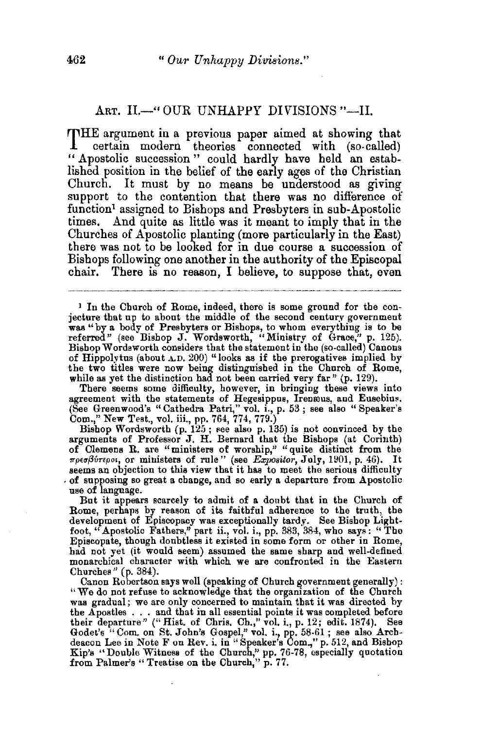## ART. II.—" OUR UNHAPPY DIVISIONS "-II.

THE argument in a previous paper aimed at showing that certain modern theories connected with (so-called) " Apostolic succession " could hardly have held an established position in the belief of the early ages of the Christian Church. It must by no means be understood as giving support to the contention that there was no difference of function<sup>1</sup> assigned to Bishops and Presbyters in sub-Apostolic times. And quite as little was it meant to imply that in the Churches of Apostolic planting (more particularly in the East) there was not to be looked for in due course a succession of Bishops following one another in the authority of the Episcopal chair. There is no reason, I believe, to suppose that, even

<sup>1</sup>In the Church of Rome, indeed, there is some ground for the con- jecture that up to about the middle of the second century government was "by a body of Presbyters or Bishops, to whom everything is to be referred" (see Bishop J. Wordsworth, "Ministry of Grace," p. 125). Bishop Wordsworth considers that the statement in the (so-called) Canons of Hippolytus (about  $\triangle$ D. 200) "looks as if the prerogatives implied by the two titles were now being distinguished in the Church of Rome, while as yet the distinction had not been carried very far  $"$  (p. 129).

There seems some difficulty, however, in bringing these views into agreement with the statements of Hegesippus, Irenæus, and Eusebius. (See Greenwood's "Cathedra Patri," vol. i., p. 53 ; see also "Speaker's Com.," New Test., vol. iii., pp. 764, 774, 779.)

Bishop Wordsworth (p. 125; see also p. 135) is not convinced by the arguments of Professor J. H. Bernard that the Bishops (at Corinth) of Clemens R. are "ministers of worship," "quite distinct from the 1rpe(Jf3fmpo•, or ministers of rule" (see Expoaitor, July, 11101, p. 46). It  $\sim$  of supposing so great a change, and so early a departure from Apostolic use of language.

But it appears scarcely to admit of a doubt that in the Church of Rome, perhaps by reason of its faithful adherence to the truth, the development of Episcopacy was exceptionally tardy. See Bishop Lightfoot, "Apostolic Fathers," part ii., vol. i., pp. 383, 384, who says : " The Episcopate, though doubtless it existed in some form or other in Rome, had not yet (it would seem) assumed the same sharp and well-defined monarchical character with which we are confronted in the Eastern Churches" (p. 384).

Canon Robertson says well (speaking of Church government generally): "We do not refuse to acknowledge that the organization of the Church was gradual; we are only concerned to maintain that it was directed by was gradual; we are only concerned to maintain that it was directed by<br>the Apostles . . . and that in all essential points it was completed before<br>their departure" ("Hist. of Chris. Ch.," vol. i., p. 12; edit. 1874). See Godet's "Com. on St. John's Gospel," vol. i., pp. 58-61; see also Arch-deacon Lee in Note F on Rev. i. in" Speaker's Com.," p. 512, and Bishop Kip's "Double Witness of the Church," pp. 76-78, especially quotation from Palmer's "Treatise on the Church," p. 77.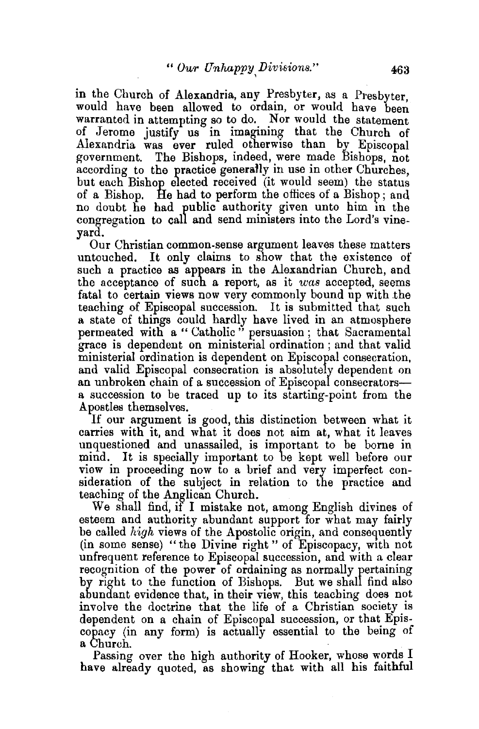in the Church of Alexandria, any Presbyter, as a Presbyter would have been allowed to ordain, or would have been warranted in attempting so to do. Nor would the statement of Jerome justify us in imagining that the Church of Alexandria was ever ruled otherwise than by Episcopal government. The Bishops, indeed, were made Bishops, not according to the practice generally in use in other Churches. but each Bishop elected received (it would seem) the status of a Bishop. He had to perform the offices of a Bishop ; and no doubt he had public authority given unto him in the congregation to call and send ministers into the Lord's vineyard.

Our Christian common-sense argument leaves these matters untouched. It only claims to show that the existence of such a practice as appears in the Alexandrian Church, and the acceptance of such a report, as it *was* accepted, seems fatal to certain views now very commonly bound up with .the teaching of Episcopal succession. It is submitted that such a state of things could hardly have lived in an atmosphere permeated with a " Catholic " persuasion; that Sacramental grace is dependent on ministerial ordination ; and that valid ministerial ordination is dependent on Episcopal consecration, and valid Episcopal consecration is absolutely dependent on an unbroken chain of a succession of Episcopal consecratorsa succession to be traced up to its starting-point from the Apostles themselves.

If our argument is good, this distinction between what it carries with it, and what it does not aim at, what it leaves unquestioned and unassailed, is important to be borne in mind. It is specially important to be kept well before our view in proceeding now to a brief and very imperfect consideration of the subject in relation to the practice and teaching of the Anglican Church.

We shall find, if I mistake not, among English divines of esteem and authority abundant support for what may fairly be called *high* views of the Apostolic origin, and consequently (in some sense) "the Divine right" of Episcopacy, with not unfrequent reference to Episcopal succession, and with a clear recognition of the power of ordaining as normally pertaining by right to the function of Bishops. But we shall find also abundant evidence that, in their view, this teaching does not involve the doctrine that the life of a Christian society is dependent on a chain of Episcopal succession, or that Episcopacy (in any form) is actually essential to the being of

a Church.<br>Passing over the high authority of Hooker, whose words I have already quoted, as showing that with all his faithful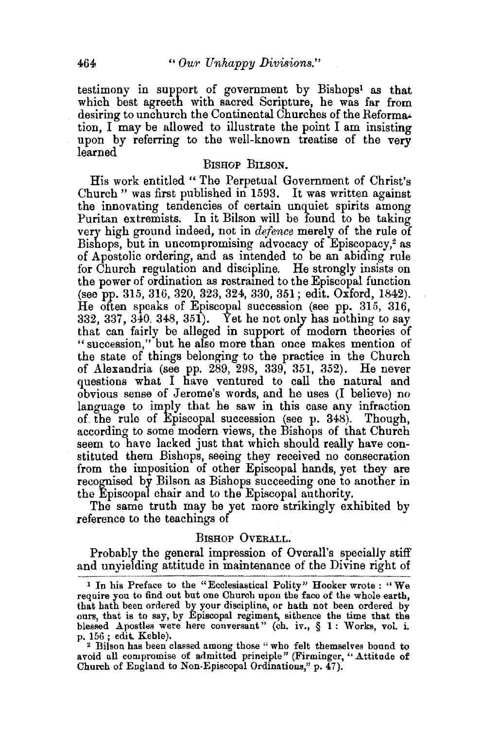testimony in support of government by Bishops1 as that which best agreeth with sacred Scripture, he was far from desiring to unchurch the Continental Churches of the Reforma• tion, I may be allowed to illustrate the point I am insisting upon by referring to the well-known treatise of the very learned

## BISHOP BILSON.

His work entitled " The Perpetual Government of Christ's Church " was first published in 1593. It was written against the innovating tendencies of certain unquiet spirits among Puritan extremists. In it Bilson will be found to be taking very high ground indeed, not in *defence* merely of the rule of Bishops, but in uncompromising advocacy of Episcopacy,<sup>2</sup> as of Apostolic ordering, and as intended to be an abiding rule for Church regulation and discipline. He strongly insists on the power of ordination as restramed to the Episcopal function (see pp. 315, 316, 320, 323, 324, 330, 351; edit. Oxford, 1842). He often speaks of Episcopal succession (see pp. 315, 316, 332, 337, 340, 348, 351). Yet he not only has nothing to say that can fairly be alleged in support of modern theories of " succession," but he also more than once makes mention of the state of things belonging to the practice in the Church of Alexandria (see pp. 289, 298, 339, 351, 352). He never questions what I have ventured to call the natural and obvious sense of Jerome's words, and he uses (I believe) no language to imply that he saw in this case any infraction of. the rule of Episcopal succession (see p. 348). Though, according to some modern views, the Bishops of that Church seem to have lacked just that which should really have constituted them Bishops, seeing they received no consecration from the imposition of other Episcopal hands, yet they are recognised by Bilson as Bishops succeeding one to another in the Episcopal chair and to the Episcopal authority.

The same truth may be yet more strikingly exhibited by reference to the teachings of

## BISHOP OVERALL.

Probably the general impression of Overall's specially stiff and unyielding attitude in maintenance of the Divine right of

<sup>&</sup>lt;sup>1</sup> In his Preface to the "Ecclesiastical Polity" Hooker wrote : "We require you to find out but one Church upon the face of the whole earth, that hath been ordered by your discipline, or hath not been ordered by ours, that is to say, by Episcopal regiment, sithence the time that the blessed Apostles were here conversant" (ch. iv., § 1: Works, vol. i.

<sup>&</sup>lt;sup>2</sup> Bilson has been classed among those "who felt themselves bound to avoid all compromise of admitted principle" (Firminger, "Attitude of Church of England to Non-Episcopal Ordinations," p.  $\overline{47}$ ).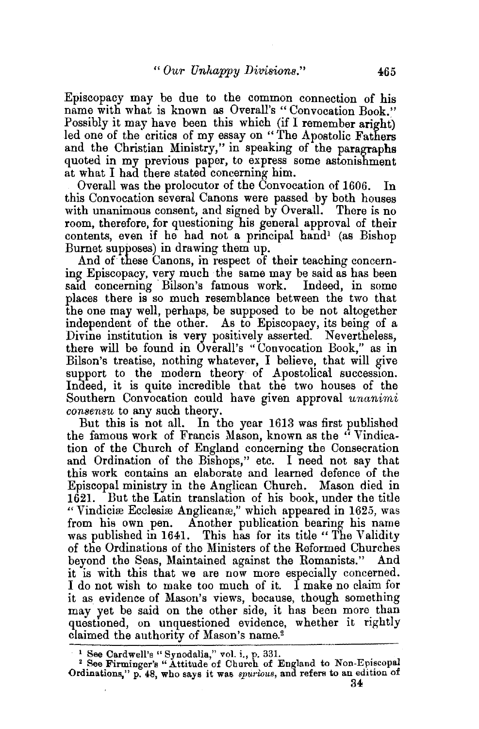Episcopacy may be due to the common connection of his name with what is known as Overall's "Convocation Book." Possibly it may have been this which (if I remember aright) led one of the critics of my essay on "The Apostolic Fathers" and the Christian Ministry," in speaking of the paragraphs quoted in my previous paper, to express some astonishment at what I had there stated concerning him.

Overall was the prolocutor of the Convocation of 1606. In this Convocation several Canons were passed by both houses with unanimous consent, and signed by Overall. There is no room, therefore, for questioning his general approval of their contents, even if he had not a principal hand<sup>1</sup> (as Bishop Burnet supposes) in drawing them up.

And of these Canons, in respect of their teaching concerning Episcopacy, very much the same may be said as has been<br>said concerning Bilson's famous work. Indeed, in some said concerning Bilson's famous work. places there is so much resemblance between the two that the one may well, perhaps, be supposed to be not altogether independent of the other. As to Episcopacy, its being of a Divine institution is very positively asserted. Nevertheless, there will be found in Overall's "Convocation Book," as in Bilson's treatise, nothing whatever, I believe, that will give support to the modern theory of Apostolical succession. Indeed, it is quite incredible that the two houses of the Southern Convocation could have given approval *unanimi consensu* to any such theory.

But this is not all. In the year 1613 was first published the famous work of Francis Mason, known as the " Vindication of the Church of England concerning the Consecration and Ordination of the Bishops," etc. I need not say that this work contains an elaborate and learned defence of the Episcopal ministry in the Anglican Church. Mason died in 1621. But the Latin translation of his book, under the title "Vindiciæ Ecclesiæ Anglicanæ," which appeared in 1625, was from his own pen. Another publication bearing his name was published in 1641. This has for its title "The Validity of the Ordinations of the Ministers of the Reformed Churches beyond the Seas, Maintained against the Romanists." And it is with this that we are now more especially concerned. I do not wish to make too much of it. I make no claim for it as evidence of Mason's views, because, though something may yet be said on the other side, it bas been more than questioned, on unquestioned evidence, whether it rightly claimed the authority of Mason's name.2

<sup>1</sup> See Cardwell's "Synodalia," vol. i., p. 331.<br><sup>2</sup> See Firminger's "Attitude of Church of England to Non-Episcopal Ordinations," p. 48, who says it was *spurious*, and refers to an edition of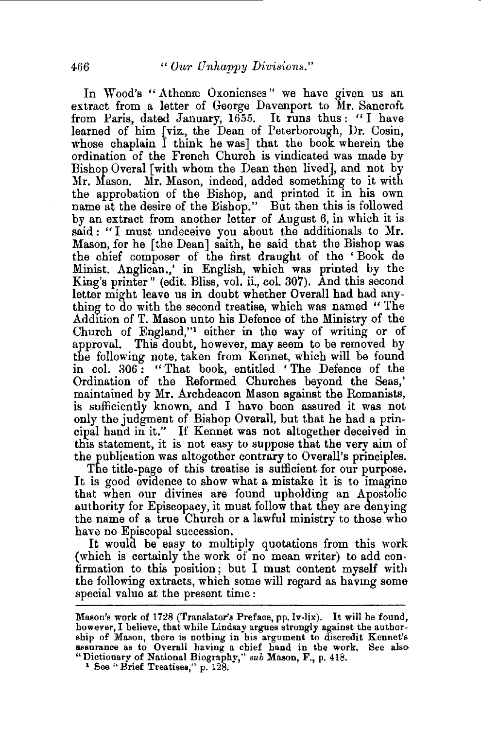In Wood's "Athenæ Oxonienses" we have given us an extract from a letter of George Davenport to Mr. Bancroft from Paris, dated January, 1655. It runs thus: "I have learned of him [viz., the Dean of Peterborough, Dr. Cosin, whose chaplain I think he was] that the book wherein the ordination of the French Church is vindicated was made by Bishop Overal [with whom the Dean then lived], and not by Mr. Mason. Mr. Mason, indeed, added something to it with the approbation of the Bishop, and printed it in his own name at the desire of the Bishop." But then this is followed by an extract from another letter of August 6, in which it is said: "I must undeceive you about the additionals to Mr. Mason, for he [the Dean] saith, he said that the Bishop was the chief composer of the first draught of the ' Book de Minist. Anglican.,' in English, which was printed by the King's printer" (edit. Bliss, vol. ii., col. 307). And this second letter might leave us in doubt whether Overall had had anything to do with the second treatise, which was named "The Addition of T. Mason unto his Defence of the Ministry of the Church of England,"1 either in the way of writing or of approval. This doubt, however, may seem to be removed by the following note. taken from Kennet, which will be found in col. 306: "That book, entitled 'The Defence of the Ordination of the Reformed Churches beyond the Seas,' maintained by Mr. Archdeacon Mason against the Romanists, is sufficiently known, and I have been assured it was not only the judgment of Bishop Overall, but that he had a principal hand in it." If Kennet was not altogether deceived in this statement, it is not easy to suppose that the very aim of the publication was altogether contrary to Overall's principles.

The title-page of this treatise is sufficient for our purpose. It is good evidence to show what a mistake it is to imagine that when our divines are found upholding an Apostolic authority for Episcopacy, it must follow that they are denying the name of a true Church or a lawful ministry to those who have no Episcopal succession.

It would be easy to multiply quotations from this work (which is certainly the work of no mean writer) to add confirmation to this position; but I must content myself with the following extracts, which some will regard as havmg some special value at the present time :

Mason's work of 1728 (Translator's Preface, pp.lv-lix). It will be found, however, I believe, that while Lindsay argues strongly against the authorship of Mason, there is nothing in his argument to discredit Kennet's assurance as to Overall having a chief hand in the work. See also "Dictionary of National Biography," *sub* Mason, F., p. 418. 1 See "Brief Treatises," p. 128.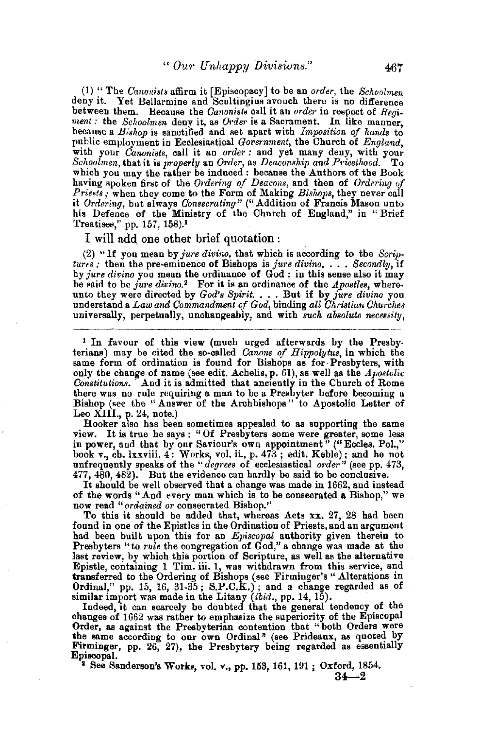(1) "The *Canonists* affirm it [Episcopacy] to be an *order*, the *Schoolmen* deny it. Yet Bellarmine and Scultingius avouch there is no difference between them. Because the *Canonists* call it an *order* in respect of *Regirnent:* the *Schoolrnen* deny it, as *Order* is a. Sacrament. In like manner, because a *Bishop* is sanctified and set apart with *Imposition of hands* to public employment in Ecclesiastical *Government*, the Church of *England*, with your *Canonists,* call it an *order:* and yet many deny, with your *Schoolmen, that it is properly an Order, as Deaconship and Priesthood.* To which you may the rather be induced: because the Authors of the Book having spoken first of the *Ordering of Deacons*, and then of *Ordering of Priests;* when they come to the Form of Making *Bishops,* they never call it *Ordering*, but always *Consecrating*" ("Addition of Francis Mason unto his Defence of the Ministry of the Church of England," in " Brief Treatises," pp. 157, 158).<sup>1</sup>

I will add. one other brief quotation :

(2) "If you mean by *jure divino,* that which is according to the *Scriptures :* then the pre-eminence of Bishops is *jure divino.* . . *Secondly*, if by *jure divino* you mean the ordinance of God : in this sense also it may be said to be *jUI·e divino.2* For it is an ordinance of the *Apostles,* whereunto they were directed by *God's Spirit.* . •• But if by *jure divino* you understand a *Law and Commandment of God,* binding *all Christian Ohurches*  universally, perpetually, unchangeably, and with *such absolute necessity*,

1 In favour of this view (much urged afterwards by the Presbyterians) may be cited the so-called *Canons of Hippolytus,* in which the same form of ordination is found for Bishops as for· Presbyters, with only the change of name (see edit. Achelis, p. 61), as well as the *Apostolic*  Constitutions. <sup>"</sup>And it is admitted that anciently in the Church of Rome there was no rule requiring a man to be a Presbyter before becoming a Bishop (see the "Answer of the Archbishops" to Apostolic Letter of Leo XIII., p. 24, note.)<br>Hooker also has been sometimes appealed to as supporting the same

Hooker also has been sometimes appealed to as supporting the same view. It is true he says: "Of Presbyters some were greater, some less in power, and that by our Saviour's own appointment" ("Eccles. Pol.," book v., ch. lxxviii. 4: Works, vol. ii., p.  $473$ ; edit. Keble); and he not unfrequently speaks of the "*degrees* of ecclesiastical *order*" (see pp. 473,  $477, 480, 482$ ). But the evidence can hardly be said to be conclusive.

It should be well observed that a change was made in 1662, and instead<br>of the words "And every man which is to be consecrated a Bishop," we

now read "ordained or consecrated Bishop." <br>To this it should be added that, whereas Acts xx. 27, 28 had been found in one of the Epistles in the Ordination of Priests, and an argument had been built upon this for an *Episcopal* authority given therein to Presbyters "to *rule* the congregation of God," a change was made at the last review, by which this portion of Scripture, as well as the alternative Epistle, containing 1 Tim. iii. 1, was withdrawn from this service, and transferred to the Ordering of Bishops (see Firminger's "Alterations in Ordinal," pp. 15, 16, 31-35; S.P.C.K.); and a change regarded as of

similar import was made in the Litany *(ibid., pp. 14, 15)*.<br>Indeed, it can scarcely be doubted that the general tendency of the changes of 1662 was rather to emphasize the superiority of the Episcopal Order, as against the Presbyterian contention that "both Orders were the same according to our own Ordinal" (see Prideaux, as quoted by Firminger, pp. 26, 27), the Presbytery being regarded as essentially Episcopal. 2 See Sanderson's Works, vol. v., pp. 153, 161, 191 ; Oxford, 1854.

<sup>2</sup> See Sanderson's Works, vol. v., pp. 153, 161, 191; Oxford, 1854.<br>24---2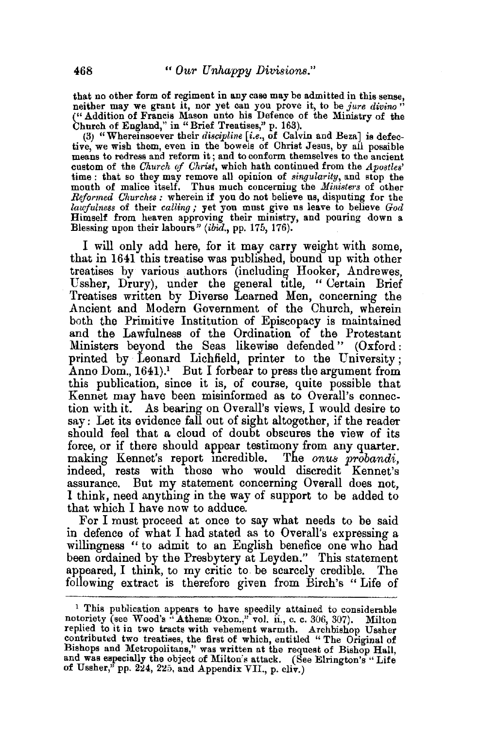that no other form of regiment in any case may be admitted in this sense, neither may we grant it, nor yet can you prove it, to be *jure divino"*  ("Addition of Francis Mason unto his Defence of the Ministry of the Chnrch of England," in" Brief Treatises," p. 163).

(3) " Whereinsoever their *discipline (i.e.,* of Calvin and Beza] is defecmeans to redress and reform it; and to conform themselves to the ancient custom of the *Church of Christ,* which bath continued from the *Apostles'*  time : that so they may remove all opinion of *singularity,* and stop the mouth of malice itself. Thus much concerning the *Ministers* of other *Reformed Churches*: wherein if you do not believe us, disputing for the *lawfulness* of their *calling;* yet you must give us leave to believe *God*  Himself from heaven approving their ministry, and pouring down a Blessing upon their labours" (ibid., pp. 175, 176).

I will only add here, for it may carry weight with some, that in 1641 this treatise was published, bound up with other treatises by various authors (including Hooker, Andrewes, Ussher, Drury), under the general title, " Certain Brief Treatises written by Diverse Learned Men, concerning the Ancient and Modern Government of the Church, wherein both the Primitive Institution of Episcopacy is maintained and the Lawfulness of the Ordination of the Protestant Ministers beyond the Seas likewise defended " (Oxford : printed by Leonard Lichfield, printer to the University ; Anno Dom.,  $1641$ .<sup>1</sup> But I forbear to press the argument from this publication, since it is, of course, quite possible that Kennet may have been misinformed as to Overall's connection with it. As bearing on Overall's views, I would desire to say: Let its evidence fall out of sight altogether, if the reader should feel that a cloud of doubt obscures the view of its force, or if there should appear testimony from any quarter. making Rennet's report mcredible. The *onus probandi,*  indeed, rests with those who would discredit Kennet's assurance. But my statement concerning Overall does not, I think, need anything in the way of support to be added to that which I have now to adduce.

For I must proceed at once to say what needs to be said in defence of what I had stated as to Overall's expressing a willingness " to admit to an English benefice one who had been ordained by the Presbytery at Leyden." This statement appeared, I think, to my critic to be scarcely credible. The following extract is therefore given from Birch's " Life of

<sup>&</sup>lt;sup>1</sup> This publication appears to have speedily attained to considerable notoriety (see Wood's "Athenæ Oxon.," vol. ii., c. c. 306, 307). Milton replied to it in two tracts with vehement warmth. Archbishop Ussher contributed two treatises, the first of which, entitled "The Original of Bishops and Metropolitans," was written at the request of Bishop Hall, and was especially the object of Milton's attack. (See Elrington's "Life of Ussher," pp. 224, 225, and Appendix VII., p. cliv.)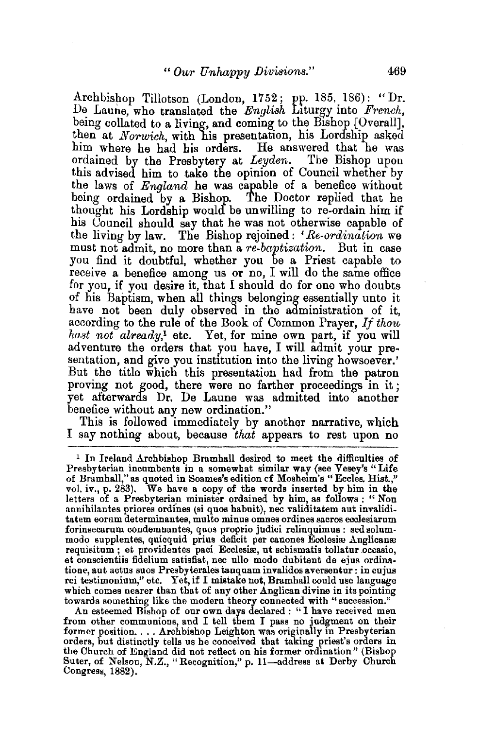Archbishop Tillotson (London, 1752; pp. 185, 186): "Dr. De Lamie, who translated the *English* Liturgy into *French,*  being collated to a living, and coming to the Bishop [Overall], then at *Norwich*, with his presentation, his Lordship asked him where he had his orders. He answered that he was ordained by the Presbytery at *Leyden.* The Bishop upon this advised him to take the opinion of Council whether by the laws of *England* he was capable of a benefice without being ordained by a Bishop. The Doctor replied that he thought his Lordship would be unwilling to re-ordain him if his Council should say that he was not otherwise capable of the living by law. The Bishop rejoined: *'Be-ordination* we must not admit, no more than a *re-baptization.* But in case you find it doubtful, whether you be a Priest capable to receive a benefice among us or no, I will do the same office for you, if you desire it, that I should do for one who doubts of his Baptism, when all things belonging essentially unto it have not been duly observed in the administration of it, according to the rule of the Book of Common Prayer, *If thou hast not already,*1 etc. Yet, for mine own part, if you will adventure the orders that you have, I will admit your pre· sentation, and give you institution into the living howsoever.' But the title which this presentation had from the patron proving not good, there were no farther proceedings in it ; yet afterwards Dr. De Laune was admitted into another benefice without any new ordination."

This is followed immediately by another narrative, which I say nothing about, because *that* appears to rest upon no

from other communions, and I tell them I pass no judgment on their former position. . . . Archbishop Leighton was originally in Presbyterian orders, but distinctly tells us be conceived that taking priest's orders in the Church of England did not reflect on his former ordination" (Bishop Suter, of Nelson, N.Z., "Recognition," p. 11-address at Derby Church Congress, 1882).

<sup>&</sup>lt;sup>1</sup> In Ireland Archbishop Bramhall desired to meet the difficulties of Presbyterian incumbents in a somewhat similar way (see Vesey's "Life of Bramhall," as quoted in Soames's edition cf Mosheim's "Eccles, Hist.," vol. iv., p. 283). We have a copy of the words inserted by him in the letters of a Presbyterian minister ordained by him, as follows : "Non annihilantes priores ordines (si quos habuit), nec validitatem aut invaliditatem eorum determinantes, multo minus omnes ordines sacros ecclesiarum foriusecarnm condemnantes, quos proprio jndici relinquimus : sed solummodo supplentes, quicquid prius deficit per canones Ecclesiæ Anglicanæ<br>requisitum ; et providentes paci Ecclesiæ, ut schismatis tollatur occasio, et conscientiis fidelium satisfiat, nee ullo modo dubitent de ejns ordinatione, aut actus snos Presbyterales tanqnam invalidos aversentur: in cujus rei testimonium," etc. Yet, if I mistake not, Bramhall could use language which comes nearer than that of any other Anglican divine in its pointing towards something like the modern theory connected with "succession."<br>An esteemed Bishop of our own days declared : "I have received men